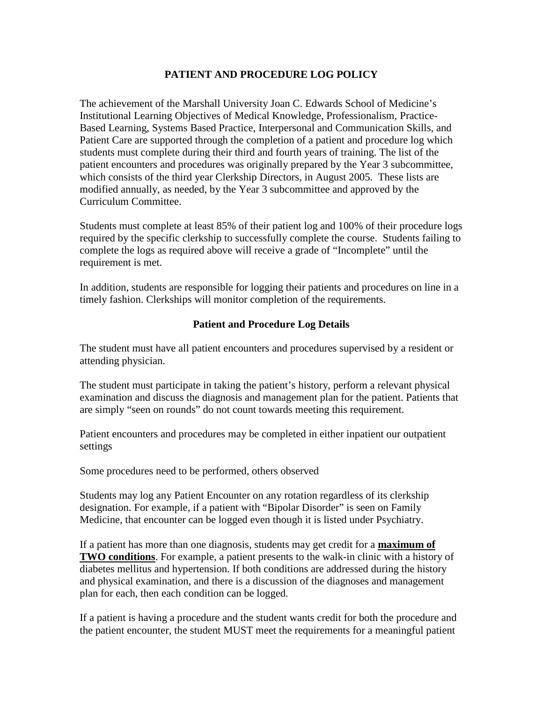## **PATIENT AND PROCEDURE LOG POLICY**

The achievement of the Marshall University Joan C. Edwards School of Medicine's Institutional Learning Objectives of Medical Knowledge, Professionalism, Practice-Based Learning, Systems Based Practice, Interpersonal and Communication Skills, and Patient Care are supported through the completion of a patient and procedure log which students must complete during their third and fourth years of training. The list of the patient encounters and procedures was originally prepared by the Year 3 subcommittee, which consists of the third year Clerkship Directors, in August 2005. These lists are modified annually, as needed, by the Year 3 subcommittee and approved by the Curriculum Committee.

Students must complete at least 85% of their patient log and 100% of their procedure logs required by the specific clerkship to successfully complete the course. Students failing to complete the logs as required above will receive a grade of "Incomplete" until the requirement is met.

In addition, students are responsible for logging their patients and procedures on line in a timely fashion. Clerkships will monitor completion of the requirements.

## **Patient and Procedure Log Details**

The student must have all patient encounters and procedures supervised by a resident or attending physician.

The student must participate in taking the patient's history, perform a relevant physical examination and discuss the diagnosis and management plan for the patient. Patients that are simply "seen on rounds" do not count towards meeting this requirement.

Patient encounters and procedures may be completed in either inpatient our outpatient settings

Some procedures need to be performed, others observed

Students may log any Patient Encounter on any rotation regardless of its clerkship designation. For example, if a patient with "Bipolar Disorder" is seen on Family Medicine, that encounter can be logged even though it is listed under Psychiatry.

If a patient has more than one diagnosis, students may get credit for a **maximum of TWO conditions**. For example, a patient presents to the walk-in clinic with a history of diabetes mellitus and hypertension. If both conditions are addressed during the history and physical examination, and there is a discussion of the diagnoses and management plan for each, then each condition can be logged.

If a patient is having a procedure and the student wants credit for both the procedure and the patient encounter, the student MUST meet the requirements for a meaningful patient